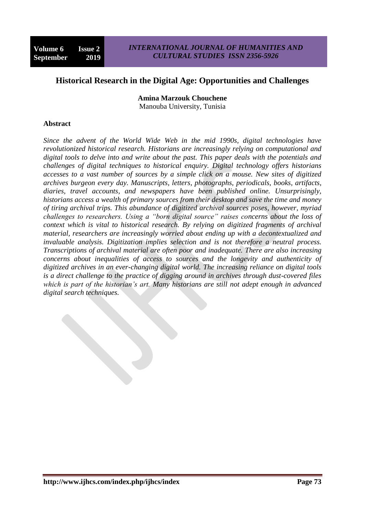# **Historical Research in the Digital Age: Opportunities and Challenges**

**Amina Marzouk Chouchene** Manouba University, Tunisia

#### **Abstract**

*Since the advent of the World Wide Web in the mid 1990s, digital technologies have revolutionized historical research. Historians are increasingly relying on computational and digital tools to delve into and write about the past. This paper deals with the potentials and challenges of digital techniques to historical enquiry. Digital technology offers historians accesses to a vast number of sources by a simple click on a mouse. New sites of digitized archives burgeon every day. Manuscripts, letters, photographs, periodicals, books, artifacts, diaries, travel accounts, and newspapers have been published online. Unsurprisingly, historians access a wealth of primary sources from their desktop and save the time and money of tiring archival trips. This abundance of digitized archival sources poses, however, myriad challenges to researchers. Using a "born digital source" raises concerns about the loss of context which is vital to historical research. By relying on digitized fragments of archival material, researchers are increasingly worried about ending up with a decontextualized and invaluable analysis. Digitization implies selection and is not therefore a neutral process. Transcriptions of archival material are often poor and inadequate. There are also increasing concerns about inequalities of access to sources and the longevity and authenticity of digitized archives in an ever-changing digital world. The increasing reliance on digital tools is a direct challenge to the practice of digging around in archives through dust-covered files which is part of the historian's art. Many historians are still not adept enough in advanced digital search techniques.*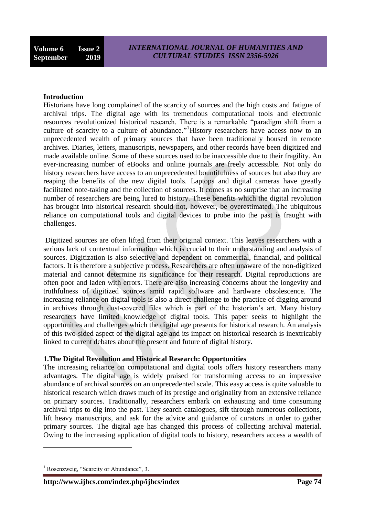#### **Introduction**

Historians have long complained of the scarcity of sources and the high costs and fatigue of archival trips. The digital age with its tremendous computational tools and electronic resources revolutionized historical research. There is a remarkable "paradigm shift from a culture of scarcity to a culture of abundance."<sup>1</sup>History researchers have access now to an unprecedented wealth of primary sources that have been traditionally housed in remote archives. Diaries, letters, manuscripts, newspapers, and other records have been digitized and made available online. Some of these sources used to be inaccessible due to their fragility. An ever-increasing number of eBooks and online journals are freely accessible. Not only do history researchers have access to an unprecedented bountifulness of sources but also they are reaping the benefits of the new digital tools. Laptops and digital cameras have greatly facilitated note-taking and the collection of sources. It comes as no surprise that an increasing number of researchers are being lured to history. These benefits which the digital revolution has brought into historical research should not, however, be overestimated. The ubiquitous reliance on computational tools and digital devices to probe into the past is fraught with challenges.

Digitized sources are often lifted from their original context. This leaves researchers with a serious lack of contextual information which is crucial to their understanding and analysis of sources. Digitization is also selective and dependent on commercial, financial, and political factors. It is therefore a subjective process. Researchers are often unaware of the non-digitized material and cannot determine its significance for their research. Digital reproductions are often poor and laden with errors. There are also increasing concerns about the longevity and truthfulness of digitized sources amid rapid software and hardware obsolescence. The increasing reliance on digital tools is also a direct challenge to the practice of digging around in archives through dust-covered files which is part of the historian's art. Many history researchers have limited knowledge of digital tools. This paper seeks to highlight the opportunities and challenges which the digital age presents for historical research. An analysis of this two-sided aspect of the digital age and its impact on historical research is inextricably linked to current debates about the present and future of digital history.

# **1.The Digital Revolution and Historical Research: Opportunities**

The increasing reliance on computational and digital tools offers history researchers many advantages. The digital age is widely praised for transforming access to an impressive abundance of archival sources on an unprecedented scale. This easy access is quite valuable to historical research which draws much of its prestige and originality from an extensive reliance on primary sources. Traditionally, researchers embark on exhausting and time consuming archival trips to dig into the past. They search catalogues, sift through numerous collections, lift heavy manuscripts, and ask for the advice and guidance of curators in order to gather primary sources. The digital age has changed this process of collecting archival material. Owing to the increasing application of digital tools to history, researchers access a wealth of

 $<sup>1</sup>$  Rosenzweig, "Scarcity or Abundance", 3.</sup>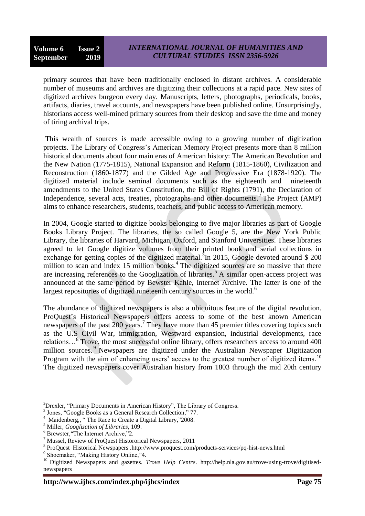primary sources that have been traditionally enclosed in distant archives. A considerable number of museums and archives are digitizing their collections at a rapid pace. New sites of digitized archives burgeon every day. Manuscripts, letters, photographs, periodicals, books, artifacts, diaries, travel accounts, and newspapers have been published online. Unsurprisingly, historians access well-mined primary sources from their desktop and save the time and money of tiring archival trips.

This wealth of sources is made accessible owing to a growing number of digitization projects. The Library of Congress's American Memory Project presents more than 8 million historical documents about four main eras of American history: The American Revolution and the New Nation (1775-1815), National Expansion and Reform (1815-1860), Civilization and Reconstruction (1860-1877) and the Gilded Age and Progressive Era (1878-1920). The digitized material include seminal documents such as the eighteenth and nineteenth amendments to the United States Constitution, the Bill of Rights (1791), the Declaration of Independence, several acts, treaties, photographs and other documents.<sup>2</sup> The Project (AMP) aims to enhance researchers, students, teachers, and public access to American memory.

In 2004, Google started to digitize books belonging to five major libraries as part of Google Books Library Project. The libraries, the so called Google 5, are the New York Public Library, the libraries of Harvard, Michigan, Oxford, and Stanford Universities. These libraries agreed to let Google digitize volumes from their printed book and serial collections in exchange for getting copies of the digitized material.<sup>3</sup>In 2015, Google devoted around \$ 200 million to scan and index 15 million books.<sup>4</sup> The digitized sources are so massive that there are increasing references to the Googlization of libraries.<sup>5</sup> A similar open-access project was announced at the same period by Bewster Kahle, Internet Archive. The latter is one of the largest repositories of digitized nineteenth century sources in the world.<sup>6</sup>

The abundance of digitized newspapers is also a ubiquitous feature of the digital revolution. ProQuest's Historical Newspapers offers access to some of the best known American newspapers of the past 200 years.<sup>7</sup> They have more than 45 premier titles covering topics such as the U.S Civil War, immigration, Westward expansion, industrial developments, race relations...<sup>8</sup> Trove, the most successful online library, offers researchers access to around 400 million sources.<sup>9</sup> Newspapers are digitized under the Australian Newspaper Digitization Program with the aim of enhancing users' access to the greatest number of digitized items.<sup>10</sup> The digitized newspapers cover Australian history from 1803 through the mid 20th century

<sup>&</sup>lt;sup>2</sup>Drexler, "Primary Documents in American History", The Library of Congress.

<sup>3</sup> Jones, "Google Books as a General Research Collection," 77.

<sup>4</sup> Maidenberg,, "The Race to Create a Digital Library,"2008.

<sup>5</sup> Miller, *Googlization of Libraries*, 109.

<sup>6</sup> Brewster,"The Internet Archive,"2.

 $<sup>7</sup>$  Mussel, Review of ProQuest Histororical Newspapers, 2011</sup>

<sup>8</sup> ProQuest Historical Newspapers .http://www.proquest.com/products-services/pq-hist-news.html

<sup>&</sup>lt;sup>9</sup> Shoemaker, "Making History Online,"4.

<sup>&</sup>lt;sup>10</sup> Digitized Newspapers and gazettes. *Trove Help Centre*. http://help.nla.gov.au/trove/using-trove/digitisednewspapers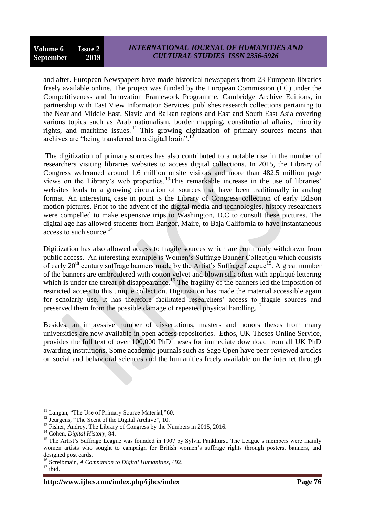and after. European Newspapers have made historical newspapers from 23 European libraries freely available online. The project was funded by the European Commission (EC) under the Competitiveness and Innovation Framework Programme. Cambridge Archive Editions, in partnership with East View Information Services, publishes research collections pertaining to the Near and Middle East, Slavic and Balkan regions and East and South East Asia covering various topics such as Arab nationalism, border mapping, constitutional affairs, minority rights, and maritime issues.<sup>11</sup> This growing digitization of primary sources means that archives are "being transferred to a digital brain".<sup>12</sup>

The digitization of primary sources has also contributed to a notable rise in the number of researchers visiting libraries websites to access digital collections. In 2015, the Library of Congress welcomed around 1.6 million onsite visitors and more than 482.5 million page views on the Library's web properties.<sup>13</sup>This remarkable increase in the use of libraries' websites leads to a growing circulation of sources that have been traditionally in analog format. An interesting case in point is the Library of Congress collection of early Edison motion pictures. Prior to the advent of the digital media and technologies, history researchers were compelled to make expensive trips to Washington, D.C to consult these pictures. The digital age has allowed students from Bangor, Maire, to Baja California to have instantaneous access to such source. 14

Digitization has also allowed access to fragile sources which are commonly withdrawn from public access. An interesting example is Women's Suffrage Banner Collection which consists of early  $20<sup>th</sup>$  century suffrage banners made by the Artist's Suffrage League<sup>15</sup>. A great number of the banners are embroidered with cotton velvet and blown silk often with appliqué lettering which is under the threat of disappearance.<sup>16</sup> The fragility of the banners led the imposition of restricted access to this unique collection. Digitization has made the material accessible again for scholarly use. It has therefore facilitated researchers' access to fragile sources and preserved them from the possible damage of repeated physical handling.<sup>17</sup>

Besides, an impressive number of dissertations, masters and honors theses from many universities are now available in open access repositories. Ethos, UK-Theses Online Service, provides the full text of over 100,000 PhD theses for immediate download from all UK PhD awarding institutions. Some academic journals such as Sage Open have peer-reviewed articles on social and behavioral sciences and the humanities freely available on the internet through

<u>.</u>

<sup>&</sup>lt;sup>11</sup> Langan, "The Use of Primary Source Material,"60.

<sup>&</sup>lt;sup>12</sup> Jeurgens, "The Scent of the Digital Archive", 10.

 $^{13}$  Fisher, Andrey, The Library of Congress by the Numbers in 2015, 2016.

<sup>14</sup> Cohen, *Digital History*, 84.

<sup>&</sup>lt;sup>15</sup> The Artist's Suffrage League was founded in 1907 by Sylvia Pankhurst. The League's members were mainly women artists who sought to campaign for British women's suffrage rights through posters, banners, and designed post cards.

<sup>16</sup> Screibmain, *A Companion to Digital Humanities,* 492.

 $17$  ibid.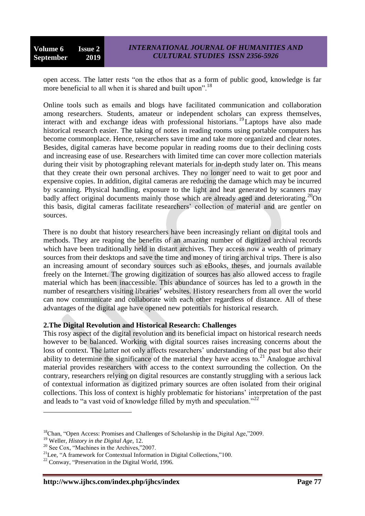open access. The latter rests "on the ethos that as a form of public good, knowledge is far more beneficial to all when it is shared and built upon".<sup>18</sup>

Online tools such as emails and blogs have facilitated communication and collaboration among researchers. Students, amateur or independent scholars can express themselves, interact with and exchange ideas with professional historians. <sup>19</sup>Laptops have also made historical research easier. The taking of notes in reading rooms using portable computers has become commonplace. Hence, researchers save time and take more organized and clear notes. Besides, digital cameras have become popular in reading rooms due to their declining costs and increasing ease of use. Researchers with limited time can cover more collection materials during their visit by photographing relevant materials for in-depth study later on. This means that they create their own personal archives. They no longer need to wait to get poor and expensive copies. In addition, digital cameras are reducing the damage which may be incurred by scanning. Physical handling, exposure to the light and heat generated by scanners may badly affect original documents mainly those which are already aged and deteriorating.<sup>20</sup>On this basis, digital cameras facilitate researchers' collection of material and are gentler on sources.

There is no doubt that history researchers have been increasingly reliant on digital tools and methods. They are reaping the benefits of an amazing number of digitized archival records which have been traditionally held in distant archives. They access now a wealth of primary sources from their desktops and save the time and money of tiring archival trips. There is also an increasing amount of secondary sources such as eBooks, theses, and journals available freely on the Internet. The growing digitization of sources has also allowed access to fragile material which has been inaccessible. This abundance of sources has led to a growth in the number of researchers visiting libraries' websites. History researchers from all over the world can now communicate and collaborate with each other regardless of distance. All of these advantages of the digital age have opened new potentials for historical research.

# **2.The Digital Revolution and Historical Research: Challenges**

This rosy aspect of the digital revolution and its beneficial impact on historical research needs however to be balanced. Working with digital sources raises increasing concerns about the loss of context. The latter not only affects researchers' understanding of the past but also their ability to determine the significance of the material they have access to.<sup>21</sup> Analogue archival material provides researchers with access to the context surrounding the collection. On the contrary, researchers relying on digital resources are constantly struggling with a serious lack of contextual information as digitized primary sources are often isolated from their original collections. This loss of context is highly problematic for historians' interpretation of the past and leads to "a vast void of knowledge filled by myth and speculation."<sup>22</sup>

<u>.</u>

<sup>&</sup>lt;sup>18</sup>Chan, "Open Access: Promises and Challenges of Scholarship in the Digital Age,"2009.

<sup>19</sup> Weller, *History in the Digital Age*, 12.

<sup>&</sup>lt;sup>20</sup> See Cox, "Machines in the Archives,"2007.

 $21$ Lee, "A framework for Contextual Information in Digital Collections,"100.

 $22$  Conway, "Preservation in the Digital World, 1996.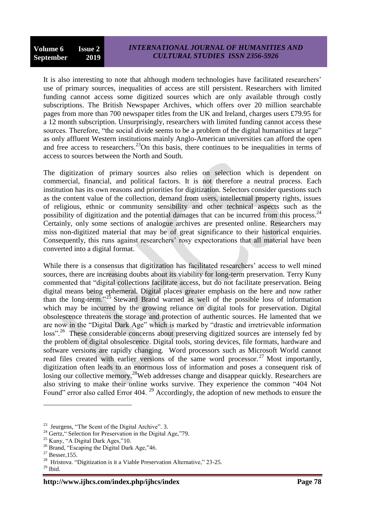It is also interesting to note that although modern technologies have facilitated researchers' use of primary sources, inequalities of access are still persistent. Researchers with limited funding cannot access some digitized sources which are only available through costly subscriptions. The British Newspaper Archives, which offers over 20 million searchable pages from more than 700 newspaper titles from the UK and Ireland, charges users £79.95 for a 12 month subscription. Unsurprisingly, researchers with limited funding cannot access these sources. Therefore, "the social divide seems to be a problem of the digital humanities at large" as only affluent Western institutions mainly Anglo-American universities can afford the open and free access to researchers.<sup>23</sup>On this basis, there continues to be inequalities in terms of access to sources between the North and South.

The digitization of primary sources also relies on selection which is dependent on commercial, financial, and political factors. It is not therefore a neutral process. Each institution has its own reasons and priorities for digitization. Selectors consider questions such as the content value of the collection, demand from users, intellectual property rights, issues of religious, ethnic or community sensibility and other technical aspects such as the possibility of digitization and the potential damages that can be incurred from this process.<sup>24</sup> Certainly, only some sections of analogue archives are presented online. Researchers may miss non-digitized material that may be of great significance to their historical enquiries. Consequently, this runs against researchers' rosy expectorations that all material have been converted into a digital format.

While there is a consensus that digitization has facilitated researchers' access to well mined sources, there are increasing doubts about its viability for long-term preservation. Terry Kuny commented that "digital collections facilitate access, but do not facilitate preservation. Being digital means being ephemeral. Digital places greater emphasis on the here and now rather than the long-term."<sup>25</sup> Steward Brand warned as well of the possible loss of information which may be incurred by the growing reliance on digital tools for preservation. Digital obsolescence threatens the storage and protection of authentic sources. He lamented that we are now in the "Digital Dark Age" which is marked by "drastic and irretrievable information loss"<sup>26</sup>. These considerable concerns about preserving digitized sources are intensely fed by the problem of digital obsolescence. Digital tools, storing devices, file formats, hardware and software versions are rapidly changing. Word processors such as Microsoft World cannot read files created with earlier versions of the same word processor.<sup>27</sup> Most importantly, digitization often leads to an enormous loss of information and poses a consequent risk of losing our collective memory.<sup>28</sup>Web addresses change and disappear quickly. Researchers are also striving to make their online works survive. They experience the common "404 Not Found" error also called Error 404.<sup>29</sup> Accordingly, the adoption of new methods to ensure the

 $23$  Jeurgens, "The Scent of the Digital Archive". 3.

 $^{24}$  Gertz," Selection for Preservation in the Digital Age,"79.

 $25$  Kuny, "A Digital Dark Ages,"10.

<sup>&</sup>lt;sup>26</sup> Brand, "Escaping the Digital Dark Age,"46.

 $27$  Besser, 155.

<sup>&</sup>lt;sup>28</sup> Hristova. "Digitization is it a Viable Preservation Alternative," 23-25.

 $29$  Ibid.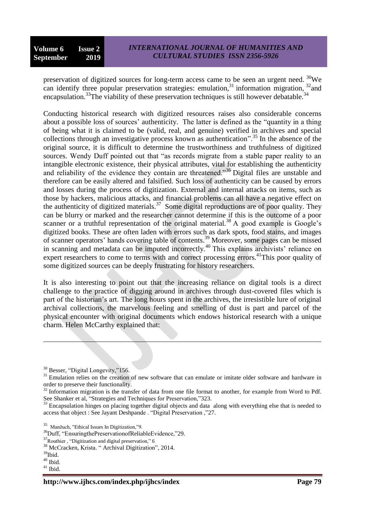preservation of digitized sources for long-term access came to be seen an urgent need. <sup>30</sup>We can identify three popular preservation strategies: emulation,  $31$  information migration,  $32$  and encapsulation.<sup>33</sup>The viability of these preservation techniques is still however debatable.<sup>34</sup>

Conducting historical research with digitized resources raises also considerable concerns about a possible loss of sources' authenticity. The latter is defined as the "quantity in a thing of being what it is claimed to be (valid, real, and genuine) verified in archives and special collections through an investigative process known as authentication".<sup>35</sup> In the absence of the original source, it is difficult to determine the trustworthiness and truthfulness of digitized sources. Wendy Duff pointed out that "as records migrate from a stable paper reality to an intangible electronic existence, their physical attributes, vital for establishing the authenticity and reliability of the evidence they contain are threatened."<sup>36</sup> Digital files are unstable and therefore can be easily altered and falsified. Such loss of authenticity can be caused by errors and losses during the process of digitization. External and internal attacks on items, such as those by hackers, malicious attacks, and financial problems can all have a negative effect on the authenticity of digitized materials.<sup>37</sup> Some digital reproductions are of poor quality. They can be blurry or marked and the researcher cannot determine if this is the outcome of a poor scanner or a truthful representation of the original material.<sup>38</sup> A good example is Google's digitized books. These are often laden with errors such as dark spots, food stains, and images of scanner operators' hands covering table of contents. <sup>39</sup> Moreover, some pages can be missed in scanning and metadata can be imputed incorrectly.<sup>40</sup> This explains archivists' reliance on expert researchers to come to terms with and correct processing errors.<sup>41</sup>This poor quality of some digitized sources can be deeply frustrating for history researchers.

It is also interesting to point out that the increasing reliance on digital tools is a direct challenge to the practice of digging around in archives through dust-covered files which is part of the historian's art. The long hours spent in the archives, the irresistible lure of original archival collections, the marvelous feeling and smelling of dust is part and parcel of the physical encounter with original documents which endows historical research with a unique charm. Helen McCarthy explained that:

 $\overline{a}$ 

 $40$  Ibid.

<sup>&</sup>lt;sup>30</sup> Besser, "Digital Longevity,"156.

<sup>&</sup>lt;sup>31</sup> Emulation relies on the creation of new software that can emulate or imitate older software and hardware in order to preserve their functionality.

<sup>&</sup>lt;sup>32</sup> Information migration is the transfer of data from one file format to another, for example from Word to Pdf. See Shanker et al, "Strategies and Techniques for Preservation,"323.

<sup>&</sup>lt;sup>33</sup> Encapsulation hinges on placing together digital objects and data along with everything else that is needed to access that object : See Jayant Deshpande . "Digital Preservation ,"27.

<sup>35</sup> Manžuch, "Ethical Issues In Digitization,"9.

<sup>&</sup>lt;sup>36</sup>Duff, "EnsuringthePreservationofReliableEvidence,"29.

 $37$ Routhier , "Digitization and digital preservation," 6

<sup>38</sup> McCracken, Krista. " Archival Digitization", 2014.

<sup>39</sup>Ibid.

 $41$  Ibid.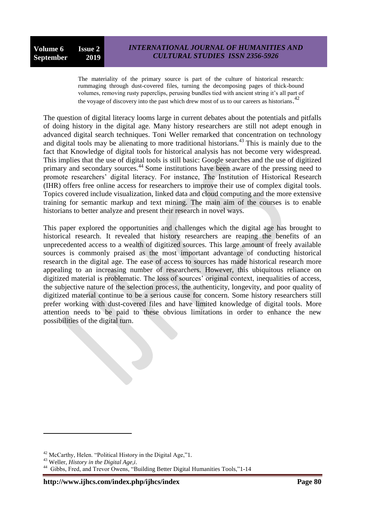The materiality of the primary source is part of the culture of historical research: rummaging through dust-covered files, turning the decomposing pages of thick-bound volumes, removing rusty paperclips, perusing bundles tied with ancient string it's all part of the voyage of discovery into the past which drew most of us to our careers as historians.<sup>42</sup>

The question of digital literacy looms large in current debates about the potentials and pitfalls of doing history in the digital age. Many history researchers are still not adept enough in advanced digital search techniques. Toni Weller remarked that concentration on technology and digital tools may be alienating to more traditional historians.<sup>43</sup> This is mainly due to the fact that Knowledge of digital tools for historical analysis has not become very widespread. This implies that the use of digital tools is still basic: Google searches and the use of digitized primary and secondary sources.<sup>44</sup> Some institutions have been aware of the pressing need to promote researchers' digital literacy. For instance, The Institution of Historical Research (IHR) offers free online access for researchers to improve their use of complex digital tools. Topics covered include visualization, linked data and cloud computing and the more extensive training for semantic markup and text mining. The main aim of the courses is to enable historians to better analyze and present their research in novel ways.

This paper explored the opportunities and challenges which the digital age has brought to historical research. It revealed that history researchers are reaping the benefits of an unprecedented access to a wealth of digitized sources. This large amount of freely available sources is commonly praised as the most important advantage of conducting historical research in the digital age. The ease of access to sources has made historical research more appealing to an increasing number of researchers. However, this ubiquitous reliance on digitized material is problematic. The loss of sources' original context, inequalities of access, the subjective nature of the selection process, the authenticity, longevity, and poor quality of digitized material continue to be a serious cause for concern. Some history researchers still prefer working with dust-covered files and have limited knowledge of digital tools. More attention needs to be paid to these obvious limitations in order to enhance the new possibilities of the digital turn.

<sup>42</sup> McCarthy, Helen. "Political History in the Digital Age,"1.

<sup>43</sup> Weller, *History in the Digital Age,i*.

<sup>&</sup>lt;sup>44</sup> Gibbs, Fred, and Trevor Owens, "Building Better Digital Humanities Tools,"1-14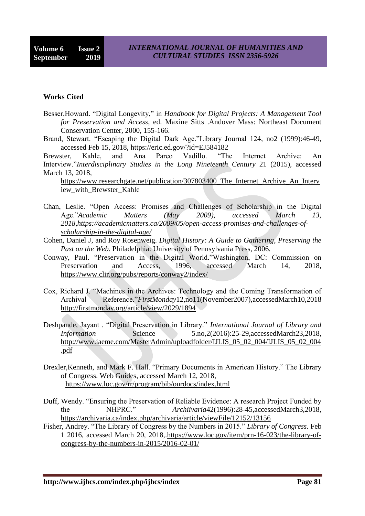#### **Works Cited**

- Besser,Howard. "Digital Longevity," in *Handbook for Digital Projects: A Management Tool for Preservation and Access*, ed. Maxine Sitts .Andover Mass: Northeast Document Conservation Center, 2000, 155-166.
- Brand, Stewart. "Escaping the Digital Dark Age."Library Journal 124, no2 (1999):46-49, accessed Feb 15, 2018, <https://eric.ed.gov/?id=EJ584182>

Brewster, Kahle, and Ana Pareo Vadillo. "The Internet Archive: An Interview."*Interdisciplinary Studies in the Long Nineteenth Century* 21 (2015), accessed March 13, 2018,

[https://www.researchgate.net/publication/307803400\\_The\\_Internet\\_Archive\\_An\\_Interv](https://www.researchgate.net/publication/307803400_The_Internet_Archive_An_Interview_with_Brewster_Kahle) [iew\\_with\\_Brewster\\_Kahle](https://www.researchgate.net/publication/307803400_The_Internet_Archive_An_Interview_with_Brewster_Kahle)

- Chan, Leslie. "Open Access: Promises and Challenges of Scholarship in the Digital Age."*Academic Matters (May 2009), accessed March 13, 2018[,https://academicmatters.ca/2009/05/open-access-promises-and-challenges-of](https://academicmatters.ca/2009/05/open-access-promises-and-challenges-of-scholarship-in-the-digital-age/)[scholarship-in-the-digital-age/](https://academicmatters.ca/2009/05/open-access-promises-and-challenges-of-scholarship-in-the-digital-age/)*
- Cohen, Daniel J, and Roy Rosenweig. *Digital History: A Guide to Gathering, Preserving the Past on the Web.* Philadelphia: University of Pennsylvania Press, 2006.
- Conway, Paul. "Preservation in the Digital World."Washington, DC: Commission on Preservation and Access, 1996, accessed March 14, 2018, <https://www.clir.org/pubs/reports/conway2/index/>
- Cox, Richard J. "Machines in the Archives: Technology and the Coming Transformation of Archival Reference."*FirstMonday*12,no11(November2007),accessedMarch10,2018 <http://firstmonday.org/article/view/2029/1894>
- Deshpande, Jayant . "Digital Preservation in Library." *International Journal of Library and Information* Science 5.no.2(2016):25-29,accessedMarch23,2018, [http://www.iaeme.com/MasterAdmin/uploadfolder/IJLIS\\_05\\_02\\_004/IJLIS\\_05\\_02\\_004](http://www.iaeme.com/MasterAdmin/uploadfolder/IJLIS_05_02_004/IJLIS_05_02_004.pdf) [.pdf](http://www.iaeme.com/MasterAdmin/uploadfolder/IJLIS_05_02_004/IJLIS_05_02_004.pdf)
- Drexler,Kenneth, and Mark F. Hall. "Primary Documents in American History." The Library of Congress. Web Guides, accessed March 12, 2018, <https://www.loc.gov/rr/program/bib/ourdocs/index.html>
- Duff, Wendy. "Ensuring the Preservation of Reliable Evidence: A research Project Funded by the NHPRC." *Archiivaria*42(1996):28-45,accessedMarch3,2018, <https://archivaria.ca/index.php/archivaria/article/viewFile/12152/13156>
- Fisher, Andrey. "The Library of Congress by the Numbers in 2015." *Library of Congress*. Feb 1 2016, accessed March 20, 2018,[.https://www.loc.gov/item/prn-16-023/the-library-of](https://www.loc.gov/item/prn-16-023/the-library-of-congress-by-the-numbers-in-2015/2016-02-01/)[congress-by-the-numbers-in-2015/2016-02-01/](https://www.loc.gov/item/prn-16-023/the-library-of-congress-by-the-numbers-in-2015/2016-02-01/)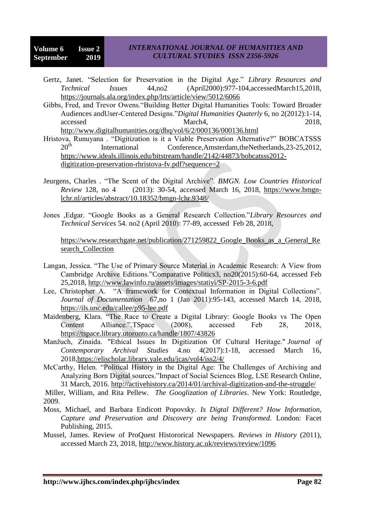# *INTERNATIONAL JOURNAL OF HUMANITIES AND CULTURAL STUDIES ISSN 2356-5926*

- Gertz, Janet. "Selection for Preservation in the Digital Age." *Library Resources and Technical Issues* 44,no2 (April2000):977-104,accessedMarch15,2018, <https://journals.ala.org/index.php/lrts/article/view/5012/6066>
- Gibbs, Fred, and Trevor Owens."Building Better Digital Humanities Tools: Toward Broader Audiences andUser-Centered Designs."*Digital Humanities Quaterly* 6, no 2(2012):1-14, accessed March4, 2018, <http://www.digitalhumanities.org/dhq/vol/6/2/000136/000136.html>
- Hristova, Runuyana . "Digitization is it a Viable Preservation Alternative?" BOBCATSSS 20<sup>th</sup> International Conference,Amsterdam,theNetherlands,23-25,2012, [https://www.ideals.illinois.edu/bitstream/handle/2142/44873/bobcatsss2012](https://www.ideals.illinois.edu/bitstream/handle/2142/44873/bobcatsss2012-digitization-preservation-rhristova-fv.pdf?sequence=2) [digitization-preservation-rhristova-fv.pdf?sequence=2](https://www.ideals.illinois.edu/bitstream/handle/2142/44873/bobcatsss2012-digitization-preservation-rhristova-fv.pdf?sequence=2)
- Jeurgens, Charles . "The Scent of the Digital Archive". *BMGN. Low Countries Historical Review* 128, no 4 (2013): 30-54, accessed March 16, 2018, [https://www.bmgn](https://www.bmgn-lchr.nl/articles/abstract/10.18352/bmgn-lchr.9348/)[lchr.nl/articles/abstract/10.18352/bmgn-lchr.9348/](https://www.bmgn-lchr.nl/articles/abstract/10.18352/bmgn-lchr.9348/)
- Jones ,Edgar. "Google Books as a General Research Collection."*Library Resources and Technical Services* 54. no2 (April 2010): 77-89, accessed Feb 28, 2018,

[https://www.researchgate.net/publication/271259822\\_Google\\_Books\\_as\\_a\\_General\\_Re](https://www.researchgate.net/publication/271259822_Google_Books_as_a_General_Research_Collection) search Collection

- Langan, Jessica. "The Use of Primary Source Material in Academic Research: A View from Cambridge Archive Editions."Comparative Politics3, no20(2015):60-64, accessed Feb 25,2018, <http://www.lawinfo.ru/assets/images/statiyi/SP-2015-3-6.pdf>
- Lee, Christopher A. "A framework for Contextual Information in Digital Collections". *Journal of Documentation* 67,no 1 (Jan 2011):95-143, accessed March 14, 2018, <https://ils.unc.edu/callee/p95-lee.pdf>
- Maidenberg, Klara. "The Race to Create a Digital Library: Google Books vs The Open Content Alliance.".TSpace (2008), accessed Feb 28, 2018, <https://tspace.library.utoronto.ca/handle/1807/43826>
- Manžuch, Zinaida. "Ethical Issues In Digitization Of Cultural Heritage." *Journal of Contemporary Archival Studies* 4.no 4(2017):1-18, accessed March 16, 2018[,https://elischolar.library.yale.edu/jcas/vol4/iss2/4/](https://elischolar.library.yale.edu/jcas/vol4/iss2/4/)
- McCarthy, Helen. "Political History in the Digital Age: The Challenges of Archiving and Analyzing Born Digital sources."Impact of Social Sciences Blog, LSE Research Online, 31 March, 2016.<http://activehistory.ca/2014/01/archival-digitization-and-the-struggle/>

Miller, William, and Rita Pellew. *The Googlization of Libraries*. New York: Routledge, 2009.

- Moss, Michael, and Barbara Endicott Popovsky. *Is Digtal Different? How Information, Capture and Preservation and Discovery are being Transformed.* London: Facet Publishing, 2015.
- Mussel, James. Review of ProQuest Histororical Newspapers. *Reviews in History* (2011), accessed March 23, 2018, <http://www.history.ac.uk/reviews/review/1096>